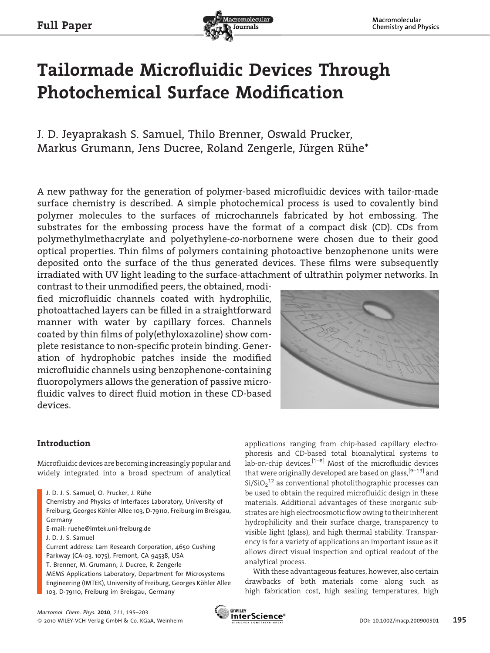

# Tailormade Microfluidic Devices Through Photochemical Surface Modification

J. D. Jeyaprakash S. Samuel, Thilo Brenner, Oswald Prucker, Markus Grumann, Jens Ducree, Roland Zengerle, Jürgen Rühe\*

A new pathway for the generation of polymer-based microfluidic devices with tailor-made surface chemistry is described. A simple photochemical process is used to covalently bind polymer molecules to the surfaces of microchannels fabricated by hot embossing. The substrates for the embossing process have the format of a compact disk (CD). CDs from polymethylmethacrylate and polyethylene-co-norbornene were chosen due to their good optical properties. Thin films of polymers containing photoactive benzophenone units were deposited onto the surface of the thus generated devices. These films were subsequently irradiated with UV light leading to the surface-attachment of ultrathin polymer networks. In

contrast to their unmodified peers, the obtained, modified microfluidic channels coated with hydrophilic, photoattached layers can be filled in a straightforward manner with water by capillary forces. Channels coated by thin films of poly(ethyloxazoline) show complete resistance to non-specific protein binding. Generation of hydrophobic patches inside the modified microfluidic channels using benzophenone-containing fluoropolymers allows the generation of passive microfluidic valves to direct fluid motion in these CD-based devices.



# Introduction

Microfluidic devices are becoming increasingly popular and widely integrated into a broad spectrum of analytical

Chemistry and Physics of Interfaces Laboratory, University of Freiburg, Georges Köhler Allee 103, D-79110, Freiburg im Breisgau, Germany

E-mail: ruehe@imtek.uni-freiburg.de

J. D. J. S. Samuel

Current address: Lam Research Corporation, 4650 Cushing Parkway (CA-03, 1075), Fremont, CA 94538, USA T. Brenner, M. Grumann, J. Ducree, R. Zengerle MEMS Applications Laboratory, Department for Microsystems Engineering (IMTEK), University of Freiburg, Georges Köhler Allee 103, D-79110, Freiburg im Breisgau, Germany

applications ranging from chip-based capillary electrophoresis and CD-based total bioanalytical systems to lab-on-chip devices. $[1-8]$  Most of the microfluidic devices that were originally developed are based on glass,  $[9-13]$  and  $\mathrm{Si}/\mathrm{SiO_2}^{12}$  as conventional photolithographic processes can be used to obtain the required microfluidic design in these materials. Additional advantages of these inorganic substrates are high electroosmotic flow owing to their inherent hydrophilicity and their surface charge, transparency to visible light (glass), and high thermal stability. Transparency is for a variety of applications an important issue as it allows direct visual inspection and optical readout of the analytical process.

With these advantageous features, however, also certain drawbacks of both materials come along such as high fabrication cost, high sealing temperatures, high



J. D. J. S. Samuel, O. Prucker, J. Rühe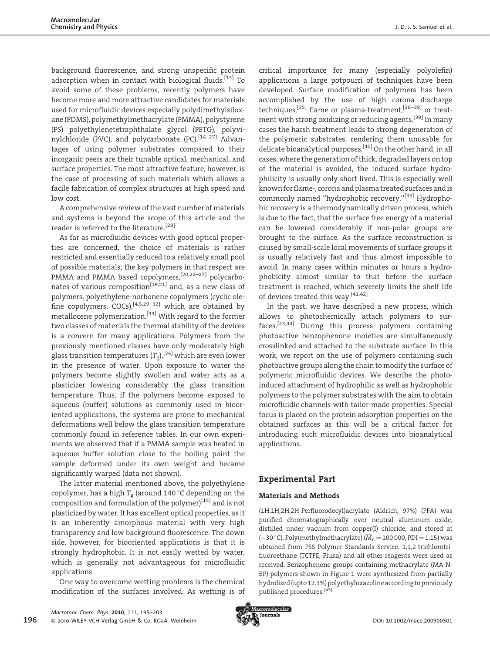background fluorescence, and strong unspecific protein adsorption when in contact with biological fluids.<sup>[13]</sup> To avoid some of these problems, recently polymers have become more and more attractive candidates for materials used for microfluidic devices especially polydimethylsiloxane (PDMS), polymethylmethacrylate (PMMA), polystyrene (PS) polyethylenetetraphthalate glycol (PETG), polyvinylchloride (PVC), and polycarbonate (PC).<sup>[14–27]</sup> Advantages of using polymer substrates compared to their inorganic peers are their tunable optical, mechanical, and surface properties. The most attractive feature, however, is the ease of processing of such materials which allows a facile fabrication of complex structures at high speed and low cost.

A comprehensive review of the vast number of materials and systems is beyond the scope of this article and the reader is referred to the literature.[28]

As far as microfluidic devices with good optical properties are concerned, the choice of materials is rather restricted and essentially reduced to a relatively small pool of possible materials; the key polymers in that respect are PMMA and PMMA based copolymers,<sup>[20,22–27]</sup> polycarbonates of various composition<sup>[19,21]</sup> and, as a new class of polymers, polyethylene-norbonene copolymers (cyclic olefine copolymers,  $COCs$ ),<sup>[4,5,29–32]</sup> which are obtained by metallocene polymerization.<sup>[33]</sup> With regard to the former two classes of materials the thermal stability of the devices is a concern for many applications. Polymers from the previously mentioned classes have only moderately high glass transition temperatures  $(T_{\rm g})$ , <sup>[34]</sup> which are even lower in the presence of water. Upon exposure to water the polymers become slightly swollen and water acts as a plasticizer lowering considerably the glass transition temperature. Thus, if the polymers become exposed to aqueous (buffer) solutions as commonly used in biooriented applications, the systems are prone to mechanical deformations well below the glass transition temperature commonly found in reference tables. In our own experiments we observed that if a PMMA sample was heated in aqueous buffer solution close to the boiling point the sample deformed under its own weight and became significantly warped (data not shown).

The latter material mentioned above, the polyethylene copolymer, has a high  $T_g$  (around 140 °C depending on the composition and formulation of the polymer) $[15]$  and is not plasticized by water. It has excellent optical properties, as it is an inherently amorphous material with very high transparency and low background fluorescence. The down side, however, for biooriented applications is that it is strongly hydrophobic. It is not easily wetted by water, which is generally not advantageous for microfluidic applications.

One way to overcome wetting problems is the chemical modification of the surfaces involved. As wetting is of critical importance for many (especially polyolefin) applications a large potpourri of techniques have been developed. Surface modification of polymers has been accomplished by the use of high corona discharge techniques,<sup>[35]</sup> flame or plasma-treatment,<sup>[36–38]</sup> or treatment with strong oxidizing or reducing agents.<sup>[39]</sup> In many cases the harsh treatment leads to strong degeneration of the polymeric substrates, rendering them unusable for delicate bioanalytical purposes.[40] On the other hand, in all cases, where the generation of thick, degraded layers on top of the material is avoided, the induced surface hydrophilicity is usually only short lived. This is especially well known for flame-, corona and plasma treated surfaces and is commonly named ''hydrophobic recovery.''[35] Hydrophobic recovery is a thermodynamically driven process, which is due to the fact, that the surface free energy of a material can be lowered considerably if non-polar groups are brought to the surface. As the surface reconstruction is caused by small-scale local movements of surface groups it is usually relatively fast and thus almost impossible to avoid. In many cases within minutes or hours a hydrophobicity almost similar to that before the surface treatment is reached, which severely limits the shelf life of devices treated this way.[41,42]

In the past, we have described a new process, which allows to photochemically attach polymers to surfaces.[43,44] During this process polymers containing photoactive benzophenone moieties are simultaneously crosslinked and attached to the substrate surface. In this work, we report on the use of polymers containing such photoactive groups along the chain to modify the surface of polymeric microfluidic devices. We describe the photoinduced attachment of hydrophilic as well as hydrophobic polymers to the polymer substrates with the aim to obtain microfluidic channels with tailor-made properties. Special focus is placed on the protein adsorption properties on the obtained surfaces as this will be a critical factor for introducing such microfluidic devices into bioanalytical applications.

# Experimental Part

## Materials and Methods

(1H,1H,2H,2H-Perfluorodecyl)acrylate (Aldrich, 97%) (PFA) was purified chromatographically over neutral aluminum oxide, distilled under vacuum from copper(I) chloride, and stored at (-30 °C). Poly(methylmethacrylate) ( $\overline{M}_n$  = 100 000, PDI = 1.15) was obtained from PSS Polymer Standards Service. 1,1,2-trichlorotrifluoroethane (TCTFE, Fluka) and all other reagents were used as received. Benzophenone groups containing methacrylate (MA-N-BP) polymers shown in Figure 1 were synthesized from partially hydrolized (upto 12.3%) polyethyloxazoline according to previously published procedures.[45]

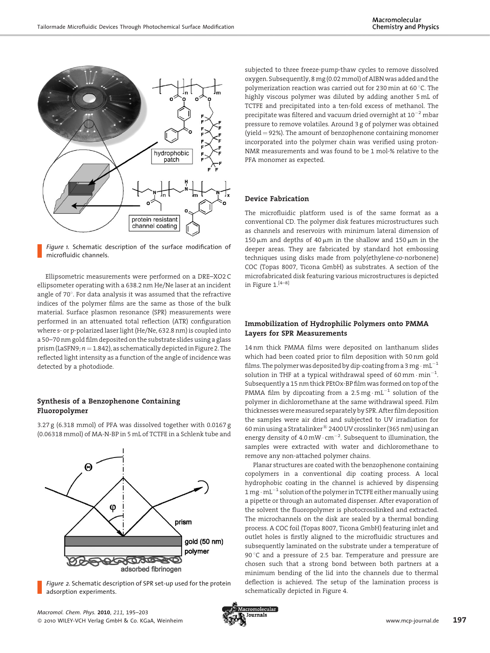

Figure 1. Schematic description of the surface modification of microfluidic channels.

Ellipsometric measurements were performed on a DRE–XO2 C ellipsometer operating with a 638.2 nm He/Ne laser at an incident angle of  $70^\circ$ . For data analysis it was assumed that the refractive indices of the polymer films are the same as those of the bulk material. Surface plasmon resonance (SPR) measurements were performed in an attenuated total reflection (ATR) configuration where s- or p-polarized laser light (He/Ne, 632.8 nm) is coupled into a 50–70 nm gold film deposited on the substrate slides using a glass prism (LaSFN9;  $n = 1.842$ ), as schematically depicted in Figure 2. The reflected light intensity as a function of the angle of incidence was detected by a photodiode.

### Synthesis of a Benzophenone Containing Fluoropolymer

3.27 g (6.318 mmol) of PFA was dissolved together with 0.0167 g (0.06318 mmol) of MA-N-BP in 5 mL of TCTFE in a Schlenk tube and



Figure 2. Schematic description of SPR set-up used for the protein adsorption experiments.

subjected to three freeze-pump-thaw cycles to remove dissolved oxygen. Subsequently, 8 mg (0.02 mmol) of AIBN was added and the polymerization reaction was carried out for 230 min at 60 $\degree$ C. The highly viscous polymer was diluted by adding another 5 mL of TCTFE and precipitated into a ten-fold excess of methanol. The precipitate was filtered and vacuum dried overnight at  $10^{-2}$  mbar pressure to remove volatiles. Around 3 g of polymer was obtained (yield  $=$  92%). The amount of benzophenone containing monomer incorporated into the polymer chain was verified using proton-NMR measurements and was found to be 1 mol-% relative to the PFA monomer as expected.

#### Device Fabrication

The microfluidic platform used is of the same format as a conventional CD. The polymer disk features microstructures such as channels and reservoirs with minimum lateral dimension of 150  $\mu$ m and depths of 40  $\mu$ m in the shallow and 150  $\mu$ m in the deeper areas. They are fabricated by standard hot embossing techniques using disks made from poly(ethylene-co-norbonene) COC (Topas 8007, Ticona GmbH) as substrates. A section of the microfabricated disk featuring various microstructures is depicted in Figure  $1.^{[4-8]}$ 

#### Immobilization of Hydrophilic Polymers onto PMMA Layers for SPR Measurements

14 nm thick PMMA films were deposited on lanthanum slides which had been coated prior to film deposition with 50 nm gold films. The polymer was deposited by dip-coating from a 3 mg  $\cdot$  mL $^{-1}$ solution in THF at a typical withdrawal speed of 60 mm $\cdot$  min $^{-1}$ . Subsequently a 15 nm thick PEtOx-BP film was formed on top of the PMMA film by dipcoating from a 2.5 mg $\cdot$  mL $^{-1}$  solution of the polymer in dichloromethane at the same withdrawal speed. Film thicknessesweremeasured separately by SPR. After film deposition the samples were air dried and subjected to UV irradiation for 60 min using a Stratalinker*<sup>1</sup>* 2400 UV crosslinker (365 nm) using an energy density of 4.0 mW $\cdot$  cm $^{-2}$ . Subsequent to illumination, the samples were extracted with water and dichloromethane to remove any non-attached polymer chains.

Planar structures are coated with the benzophenone containing copolymers in a conventional dip coating process. A local hydrophobic coating in the channel is achieved by dispensing 1 mg  $\cdot$  mL $^{-1}$  solution of the polymer in TCTFE either manually using a pipette or through an automated dispenser. After evaporation of the solvent the fluoropolymer is photocrosslinked and extracted. The microchannels on the disk are sealed by a thermal bonding process. A COC foil (Topas 8007, Ticona GmbH) featuring inlet and outlet holes is firstly aligned to the microfluidic structures and subsequently laminated on the substrate under a temperature of 90 $\degree$ C and a pressure of 2.5 bar. Temperature and pressure are chosen such that a strong bond between both partners at a minimum bending of the lid into the channels due to thermal deflection is achieved. The setup of the lamination process is schematically depicted in Figure 4.

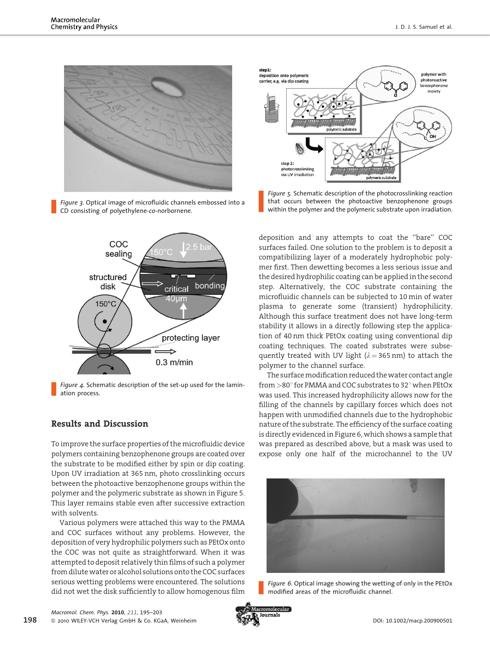

Figure 3. Optical image of microfluidic channels embossed into a CD consisting of polyethylene-co-norbornene.



Figure 4. Schematic description of the set-up used for the lamination process.

# Results and Discussion

To improve the surface properties of the microfluidic device polymers containing benzophenone groups are coated over the substrate to be modified either by spin or dip coating. Upon UV irradiation at 365 nm, photo crosslinking occurs between the photoactive benzophenone groups within the polymer and the polymeric substrate as shown in Figure 5. This layer remains stable even after successive extraction with solvents.

Various polymers were attached this way to the PMMA and COC surfaces without any problems. However, the deposition of very hydrophilic polymers such as PEtOx onto the COC was not quite as straightforward. When it was attempted to deposit relatively thin films of such a polymer from dilute water or alcohol solutions onto the COC surfaces serious wetting problems were encountered. The solutions did not wet the disk sufficiently to allow homogenous film



Figure 5. Schematic description of the photocrosslinking reaction that occurs between the photoactive benzophenone groups within the polymer and the polymeric substrate upon irradiation.

deposition and any attempts to coat the ''bare'' COC surfaces failed. One solution to the problem is to deposit a compatibilizing layer of a moderately hydrophobic polymer first. Then dewetting becomes a less serious issue and the desired hydrophilic coating can be applied in the second step. Alternatively, the COC substrate containing the microfluidic channels can be subjected to 10 min of water plasma to generate some (transient) hydrophilicity. Although this surface treatment does not have long-term stability it allows in a directly following step the application of 40 nm thick PEtOx coating using conventional dip coating techniques. The coated substrates were subsequently treated with UV light  $(\lambda = 365 \text{ nm})$  to attach the polymer to the channel surface.

The surface modification reduced the water contact angle from  $>$ 80 $^{\circ}$  for PMMA and COC substrates to 32 $^{\circ}$  when PEtOx was used. This increased hydrophilicity allows now for the filling of the channels by capillary forces which does not happen with unmodified channels due to the hydrophobic nature of the substrate. The efficiency of the surface coating is directly evidenced in Figure 6, which shows a sample that was prepared as described above, but a mask was used to expose only one half of the microchannel to the UV



Figure 6. Optical image showing the wetting of only in the PEtOx modified areas of the microfluidic channel.

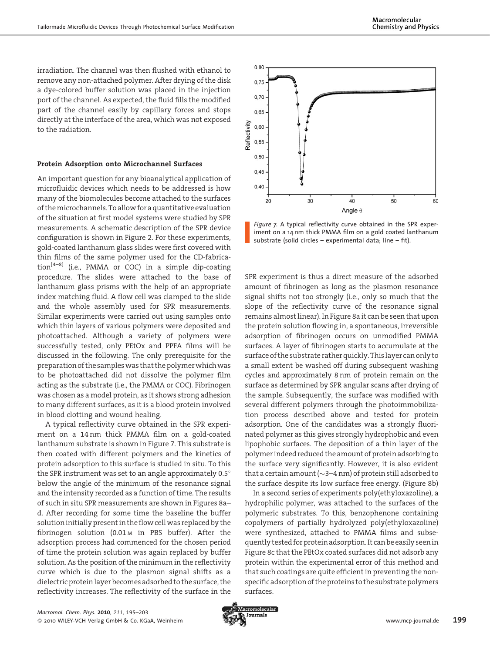irradiation. The channel was then flushed with ethanol to remove any non-attached polymer. After drying of the disk a dye-colored buffer solution was placed in the injection port of the channel. As expected, the fluid fills the modified part of the channel easily by capillary forces and stops directly at the interface of the area, which was not exposed to the radiation.

#### Protein Adsorption onto Microchannel Surfaces

An important question for any bioanalytical application of microfluidic devices which needs to be addressed is how many of the biomolecules become attached to the surfaces of themicrochannels. To allow for a quantitative evaluation of the situation at first model systems were studied by SPR measurements. A schematic description of the SPR device configuration is shown in Figure 2. For these experiments, gold-coated lanthanum glass slides were first covered with thin films of the same polymer used for the CD-fabrication[4–8] (i.e., PMMA or COC) in a simple dip-coating procedure. The slides were attached to the base of lanthanum glass prisms with the help of an appropriate index matching fluid. A flow cell was clamped to the slide and the whole assembly used for SPR measurements. Similar experiments were carried out using samples onto which thin layers of various polymers were deposited and photoattached. Although a variety of polymers were successfully tested, only PEtOx and PPFA films will be discussed in the following. The only prerequisite for the preparation of the sampleswas that the polymerwhichwas to be photoattached did not dissolve the polymer film acting as the substrate (i.e., the PMMA or COC). Fibrinogen was chosen as a model protein, as it shows strong adhesion to many different surfaces, as it is a blood protein involved in blood clotting and wound healing.

A typical reflectivity curve obtained in the SPR experiment on a 14 nm thick PMMA film on a gold-coated lanthanum substrate is shown in Figure 7. This substrate is then coated with different polymers and the kinetics of protein adsorption to this surface is studied in situ. To this the SPR instrument was set to an angle approximately  $0.5^{\circ}$ below the angle of the minimum of the resonance signal and the intensity recorded as a function of time. The results of such in situ SPR measurements are shown in Figures 8a– d. After recording for some time the baseline the buffer solution initially present in the flow cell was replaced by the fibrinogen solution (0.01 <sup>M</sup> in PBS buffer). After the adsorption process had commenced for the chosen period of time the protein solution was again replaced by buffer solution. As the position of the minimum in the reflectivity curve which is due to the plasmon signal shifts as a dielectric protein layer becomes adsorbed to the surface, the reflectivity increases. The reflectivity of the surface in the



Figure 7. A typical reflectivity curve obtained in the SPR experiment on a 14 nm thick PMMA film on a gold coated lanthanum substrate (solid circles – experimental data; line – fit).

SPR experiment is thus a direct measure of the adsorbed amount of fibrinogen as long as the plasmon resonance signal shifts not too strongly (i.e., only so much that the slope of the reflectivity curve of the resonance signal remains almost linear). In Figure 8a it can be seen that upon the protein solution flowing in, a spontaneous, irreversible adsorption of fibrinogen occurs on unmodified PMMA surfaces. A layer of fibrinogen starts to accumulate at the surface of the substrate rather quickly. Thislayer can only to a small extent be washed off during subsequent washing cycles and approximately 8 nm of protein remain on the surface as determined by SPR angular scans after drying of the sample. Subsequently, the surface was modified with several different polymers through the photoimmobilization process described above and tested for protein adsorption. One of the candidates was a strongly fluorinated polymer as this gives strongly hydrophobic and even lipophobic surfaces. The deposition of a thin layer of the polymer indeed reduced the amount of protein adsorbing to the surface very significantly. However, it is also evident that a certain amount ( $\sim$ 3–4 nm) of protein still adsorbed to the surface despite its low surface free energy. (Figure 8b)

In a second series of experiments poly(ethyloxazoline), a hydrophilic polymer, was attached to the surfaces of the polymeric substrates. To this, benzophenone containing copolymers of partially hydrolyzed poly(ethyloxazoline) were synthesized, attached to PMMA films and subsequently tested for protein adsorption. It can be easily seen in Figure 8c that the PEtOx coated surfaces did not adsorb any protein within the experimental error of this method and that such coatings are quite efficient in preventing the nonspecific adsorption of the proteins to the substrate polymers surfaces.

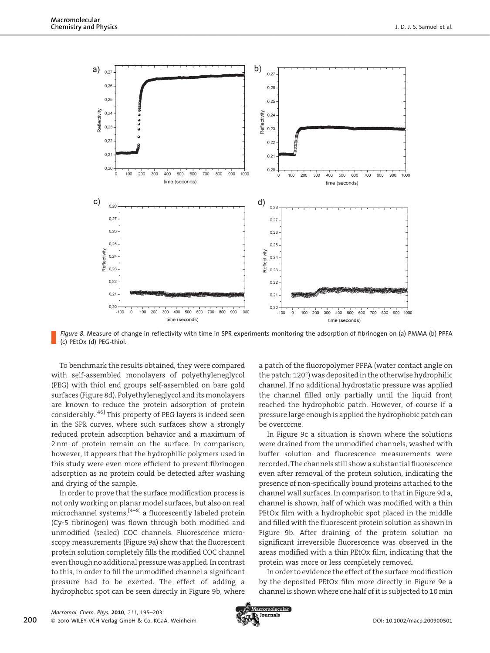

Figure 8. Measure of change in reflectivity with time in SPR experiments monitoring the adsorption of fibrinogen on (a) PMMA (b) PPFA (c) PEtOx (d) PEG-thiol.

To benchmark the results obtained, they were compared with self-assembled monolayers of polyethyleneglycol (PEG) with thiol end groups self-assembled on bare gold surfaces (Figure 8d). Polyethyleneglycol and its monolayers are known to reduce the protein adsorption of protein considerably.[46] This property of PEG layers is indeed seen in the SPR curves, where such surfaces show a strongly reduced protein adsorption behavior and a maximum of 2 nm of protein remain on the surface. In comparison, however, it appears that the hydrophilic polymers used in this study were even more efficient to prevent fibrinogen adsorption as no protein could be detected after washing and drying of the sample.

In order to prove that the surface modification process is not only working on planar model surfaces, but also on real microchannel systems,[4–8] a fluorescently labeled protein (Cy-5 fibrinogen) was flown through both modified and unmodified (sealed) COC channels. Fluorescence microscopy measurements (Figure 9a) show that the fluorescent protein solution completely fills the modified COC channel even though no additional pressurewas applied. In contrast to this, in order to fill the unmodified channel a significant pressure had to be exerted. The effect of adding a hydrophobic spot can be seen directly in Figure 9b, where a patch of the fluoropolymer PPFA (water contact angle on the patch:  $120^{\circ}$ ) was deposited in the otherwise hydrophilic channel. If no additional hydrostatic pressure was applied the channel filled only partially until the liquid front reached the hydrophobic patch. However, of course if a pressure large enough is applied the hydrophobic patch can be overcome.

In Figure 9c a situation is shown where the solutions were drained from the unmodified channels, washed with buffer solution and fluorescence measurements were recorded. The channels still show a substantial fluorescence even after removal of the protein solution, indicating the presence of non-specifically bound proteins attached to the channel wall surfaces. In comparison to that in Figure 9d a, channel is shown, half of which was modified with a thin PEtOx film with a hydrophobic spot placed in the middle and filled with the fluorescent protein solution as shown in Figure 9b. After draining of the protein solution no significant irreversible fluorescence was observed in the areas modified with a thin PEtOx film, indicating that the protein was more or less completely removed.

In order to evidence the effect of the surface modification by the deposited PEtOx film more directly in Figure 9e a channel is shown where one half of it is subjected to 10 min

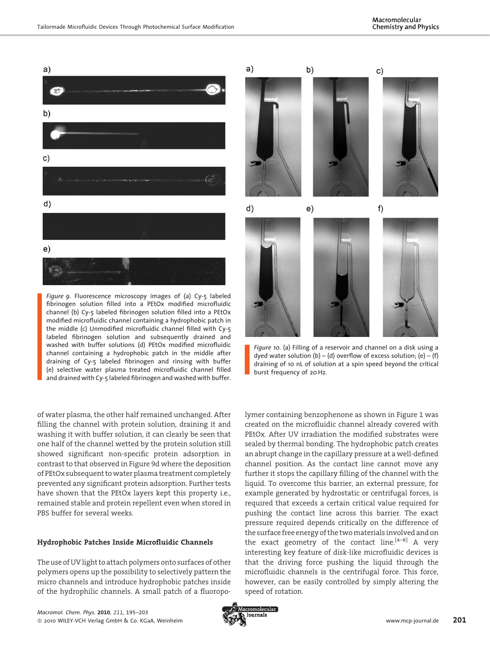

Figure 9. Fluorescence microscopy images of (a) Cy-5 labeled fibrinogen solution filled into a PEtOx modified microfluidic channel (b) Cy-5 labeled fibrinogen solution filled into a PEtOx modified microfluidic channel containing a hydrophobic patch in the middle (c) Unmodified microfluidic channel filled with Cy-5 labeled fibrinogen solution and subsequently drained and washed with buffer solutions (d) PEtOx modified microfluidic channel containing a hydrophobic patch in the middle after draining of Cy-5 labeled fibrinogen and rinsing with buffer (e) selective water plasma treated microfluidic channel filled and drained with Cy-5 labeled fibrinogen and washed with buffer.

of water plasma, the other half remained unchanged. After filling the channel with protein solution, draining it and washing it with buffer solution, it can clearly be seen that one half of the channel wetted by the protein solution still showed significant non-specific protein adsorption in contrast to that observed in Figure 9d where the deposition of PEtOx subsequent towater plasma treatment completely prevented any significant protein adsorption. Further tests have shown that the PEtOx layers kept this property i.e., remained stable and protein repellent even when stored in PBS buffer for several weeks.

#### Hydrophobic Patches Inside Microfluidic Channels

The use of UV light to attach polymers onto surfaces of other polymers opens up the possibility to selectively pattern the micro channels and introduce hydrophobic patches inside of the hydrophilic channels. A small patch of a fluoropo-



Figure 10. (a) Filling of a reservoir and channel on a disk using a dyed water solution (b) – (d) overflow of excess solution; (e) – (f) draining of 10 nL of solution at a spin speed beyond the critical burst frequency of 20 Hz.

lymer containing benzophenone as shown in Figure 1 was created on the microfluidic channel already covered with PEtOx. After UV irradiation the modified substrates were sealed by thermal bonding. The hydrophobic patch creates an abrupt change in the capillary pressure at a well-defined channel position. As the contact line cannot move any further it stops the capillary filling of the channel with the liquid. To overcome this barrier, an external pressure, for example generated by hydrostatic or centrifugal forces, is required that exceeds a certain critical value required for pushing the contact line across this barrier. The exact pressure required depends critically on the difference of the surface free energy of the twomaterials involved and on the exact geometry of the contact line.<sup>[4–8]</sup> A very interesting key feature of disk-like microfluidic devices is that the driving force pushing the liquid through the microfluidic channels is the centrifugal force. This force, however, can be easily controlled by simply altering the speed of rotation.

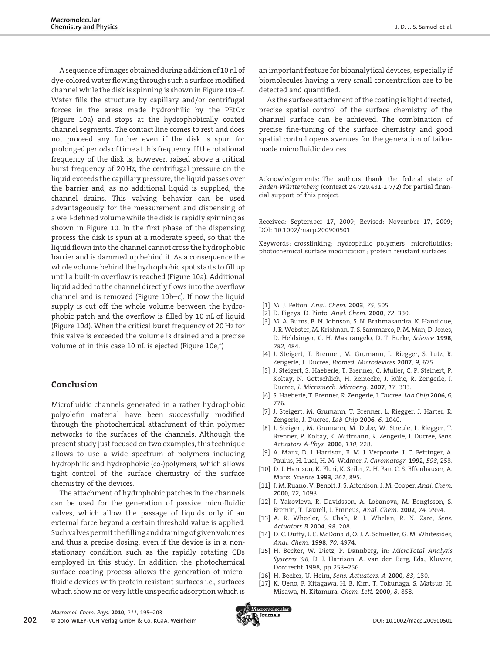A sequence of images obtained during addition of 10 nL of dye-colored water flowing through such a surface modified channel while the disk is spinning is shown in Figure 10a–f. Water fills the structure by capillary and/or centrifugal forces in the areas made hydrophilic by the PEtOx (Figure 10a) and stops at the hydrophobically coated channel segments. The contact line comes to rest and does not proceed any further even if the disk is spun for prolonged periods of time at this frequency. If the rotational frequency of the disk is, however, raised above a critical burst frequency of 20 Hz, the centrifugal pressure on the liquid exceeds the capillary pressure, the liquid passes over the barrier and, as no additional liquid is supplied, the channel drains. This valving behavior can be used advantageously for the measurement and dispensing of a well-defined volume while the disk is rapidly spinning as shown in Figure 10. In the first phase of the dispensing process the disk is spun at a moderate speed, so that the liquid flown into the channel cannot cross the hydrophobic barrier and is dammed up behind it. As a consequence the whole volume behind the hydrophobic spot starts to fill up until a built-in overflow is reached (Figure 10a). Additional liquid added to the channel directly flows into the overflow channel and is removed (Figure 10b–c). If now the liquid supply is cut off the whole volume between the hydrophobic patch and the overflow is filled by 10 nL of liquid (Figure 10d). When the critical burst frequency of 20 Hz for this valve is exceeded the volume is drained and a precise volume of in this case 10 nL is ejected (Figure 10e,f)

## Conclusion

Microfluidic channels generated in a rather hydrophobic polyolefin material have been successfully modified through the photochemical attachment of thin polymer networks to the surfaces of the channels. Although the present study just focused on two examples, this technique allows to use a wide spectrum of polymers including hydrophilic and hydrophobic (co-)polymers, which allows tight control of the surface chemistry of the surface chemistry of the devices.

The attachment of hydrophobic patches in the channels can be used for the generation of passive microfluidic valves, which allow the passage of liquids only if an external force beyond a certain threshold value is applied. Such valves permit the filling and draining of given volumes and thus a precise dosing, even if the device is in a nonstationary condition such as the rapidly rotating CDs employed in this study. In addition the photochemical surface coating process allows the generation of microfluidic devices with protein resistant surfaces i.e., surfaces which show no or very little unspecific adsorption which is

an important feature for bioanalytical devices, especially if biomolecules having a very small concentration are to be detected and quantified.

As the surface attachment of the coating is light directed, precise spatial control of the surface chemistry of the channel surface can be achieved. The combination of precise fine-tuning of the surface chemistry and good spatial control opens avenues for the generation of tailormade microfluidic devices.

Acknowledgements: The authors thank the federal state of Baden-Württemberg (contract 24-720.431-1-7/2) for partial financial support of this project.

Received: September 17, 2009; Revised: November 17, 2009; DOI: 10.1002/macp.200900501

Keywords: crosslinking; hydrophilic polymers; microfluidics; photochemical surface modification; protein resistant surfaces

- [1] M. J. Felton, Anal. Chem. 2003, 75, 505.
- [2] D. Figeys, D. Pinto, Anal. Chem. 2000, 72, 330.
- [3] M. A. Burns, B. N. Johnson, S. N. Brahmasandra, K. Handique, J. R. Webster, M. Krishnan, T. S. Sammarco, P. M. Man, D. Jones, D. Heldsinger, C. H. Mastrangelo, D. T. Burke, Science 1998, 282, 484.
- [4] J. Steigert, T. Brenner, M. Grumann, L. Riegger, S. Lutz, R. Zengerle, J. Ducree, Biomed. Microdevices 2007, 9, 675.
- [5] J. Steigert, S. Haeberle, T. Brenner, C. Muller, C. P. Steinert, P. Koltay, N. Gottschlich, H. Reinecke, J. Rühe, R. Zengerle, J. Ducree, J. Micromech. Microeng. 2007, 17, 333.
- [6] S. Haeberle, T. Brenner, R. Zengerle, J. Ducree, Lab Chip 2006, 6, 776.
- [7] J. Steigert, M. Grumann, T. Brenner, L. Riegger, J. Harter, R. Zengerle, J. Ducree, Lab Chip 2006, 6, 1040.
- [8] J. Steigert, M. Grumann, M. Dube, W. Streule, L. Riegger, T. Brenner, P. Koltay, K. Mittmann, R. Zengerle, J. Ducree, Sens. Actuators A-Phys. 2006, 130, 228.
- [9] A. Manz, D. J. Harrison, E. M. J. Verpoorte, J. C. Fettinger, A. Paulus, H. Ludi, H. M. Widmer, J. Chromatogr. 1992, 593, 253.
- [10] D. J. Harrison, K. Fluri, K. Seiler, Z. H. Fan, C. S. Effenhauser, A. Manz, Science 1993, 261, 895.
- [11] J. M. Ruano, V. Benoit, J. S. Aitchison, J. M. Cooper, Anal. Chem. 2000, 72, 1093.
- [12] J. Yakovleva, R. Davidsson, A. Lobanova, M. Bengtsson, S. Eremin, T. Laurell, J. Emneus, Anal. Chem. 2002, 74, 2994.
- [13] A. R. Wheeler, S. Chah, R. J. Whelan, R. N. Zare, Sens. Actuators B 2004, 98, 208.
- [14] D. C. Duffy, J. C. McDonald, O. J. A. Schueller, G. M. Whitesides, Anal. Chem. 1998, 70, 4974.
- [15] H. Becker, W. Dietz, P. Dannberg, in: MicroTotal Analysis Systems '98, D. J. Harrison, A. van den Berg, Eds., Kluwer, Dordrecht 1998, pp 253–256.
- [16] H. Becker, U. Heim, Sens. Actuators, A 2000, 83, 130.
- [17] K. Ueno, F. Kitagawa, H. B. Kim, T. Tokunaga, S. Matsuo, H. Misawa, N. Kitamura, Chem. Lett. 2000, 8, 858.